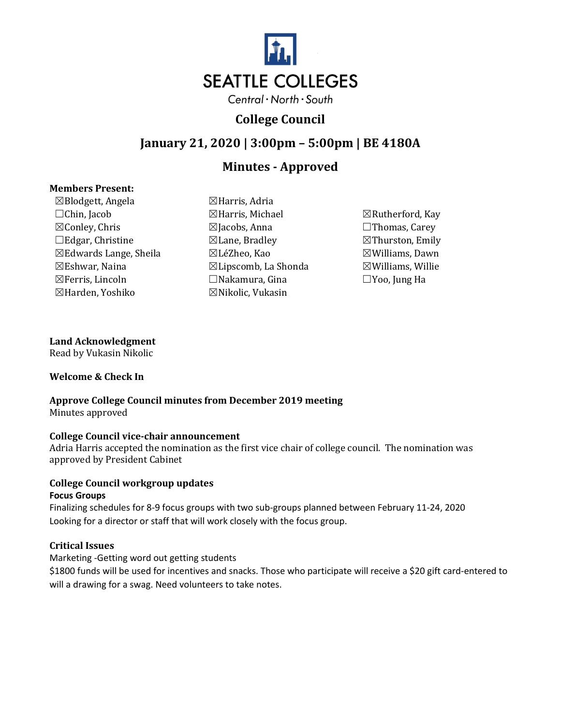

# **College Council**

# **January 21, 2020 | 3:00pm – 5:00pm | BE 4180A**

# **Minutes - Approved**

## **Members Present:**

☒Blodgett, Angela ☒Harris, Adria  $\Box$ Chin, Jacob  $\Box$ Harris, Michael  $\Box$ Rutherford, Kay ☒Conley, Chris ☒Jacobs, Anna ☐Thomas, Carey ☐Edgar, Christine ☒Lane, Bradley ☒Thurston, Emily ☒Edwards Lange, Sheila ☒LéZheo, Kao ☒Williams, Dawn  $\boxtimes$ Eshwar, Naina  $\boxtimes$ Lipscomb, La Shonda  $\boxtimes$ Williams, Willie ☒Ferris, Lincoln ☐Nakamura, Gina ☐Yoo, Jung Ha ☒Harden, Yoshiko ☒Nikolic, Vukasin

## **Land Acknowledgment**

Read by Vukasin Nikolic

## **Welcome & Check In**

## **Approve College Council minutes from December 2019 meeting** Minutes approved

## **College Council vice-chair announcement**

Adria Harris accepted the nomination as the first vice chair of college council. The nomination was approved by President Cabinet

#### **College Council workgroup updates Focus Groups**

Finalizing schedules for 8-9 focus groups with two sub-groups planned between February 11-24, 2020 Looking for a director or staff that will work closely with the focus group.

## **Critical Issues**

Marketing -Getting word out getting students

\$1800 funds will be used for incentives and snacks. Those who participate will receive a \$20 gift card-entered to will a drawing for a swag. Need volunteers to take notes.